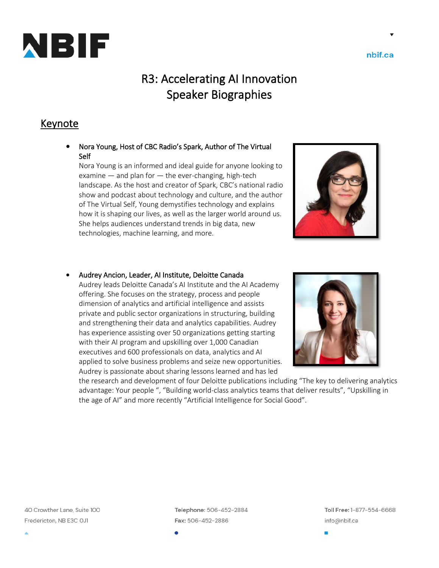

R3: Accelerating AI Innovation Speaker Biographies

## Keynote

• Nora Young, Host of CBC Radio's Spark, Author of The Virtual Self

Nora Young is an informed and ideal guide for anyone looking to examine  $-$  and plan for  $-$  the ever-changing, high-tech landscape. As the host and creator of Spark, CBC's national radio show and podcast about technology and culture, and the author of The Virtual Self, Young demystifies technology and explains how it is shaping our lives, as well as the larger world around us. She helps audiences understand trends in big data, new technologies, machine learning, and more.



#### • Audrey Ancion, Leader, AI Institute, Deloitte Canada

Audrey leads Deloitte Canada's AI Institute and the AI Academy offering. She focuses on the strategy, process and people dimension of analytics and artificial intelligence and assists private and public sector organizations in structuring, building and strengthening their data and analytics capabilities. Audrey has experience assisting over 50 organizations getting starting with their AI program and upskilling over 1,000 Canadian executives and 600 professionals on data, analytics and AI applied to solve business problems and seize new opportunities. Audrey is passionate about sharing lessons learned and has led



the research and development of four Deloitte publications including "The key to delivering analytics advantage: Your people ", "Building world-class analytics teams that deliver results", "Upskilling in the age of AI" and more recently "Artificial Intelligence for Social Good".

40 Crowther Lane, Suite 100 Fredericton, NB E3C OJ1

Telephone: 506-452-2884 Fax: 506-452-2886

Toll Free: 1-877-554-6668 info@nbif.ca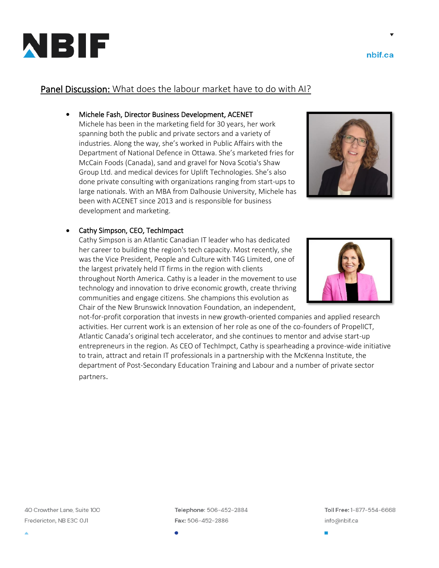

Telephone: 506-452-2884 Fax: 506-452-2886



## Panel Discussion: What does the labour market have to do with AI?

#### • Michele Fash, Director Business Development, ACENET

Michele has been in the marketing field for 30 years, her work spanning both the public and private sectors and a variety of industries. Along the way, she's worked in Public Affairs with the Department of National Defence in Ottawa. She's marketed fries for McCain Foods (Canada), sand and gravel for Nova Scotia's Shaw Group Ltd. and medical devices for Uplift Technologies. She's also done private consulting with organizations ranging from start-ups to large nationals. With an MBA from Dalhousie University, Michele has been with ACENET since 2013 and is responsible for business development and marketing.

#### • Cathy Simpson, CEO, TechImpact

Cathy Simpson is an Atlantic Canadian IT leader who has dedicated her career to building the region's tech capacity. Most recently, she was the Vice President, People and Culture with T4G Limited, one of the largest privately held IT firms in the region with clients throughout North America. Cathy is a leader in the movement to use technology and innovation to drive economic growth, create thriving communities and engage citizens. She champions this evolution as Chair of the New Brunswick Innovation Foundation, an independent,

not-for-profit corporation that invests in new growth-oriented companies and applied research activities. Her current work is an extension of her role as one of the co-founders of PropelICT, Atlantic Canada's original tech accelerator, and she continues to mentor and advise start-up entrepreneurs in the region. As CEO of TechImpct, Cathy is spearheading a province-wide initiative to train, attract and retain IT professionals in a partnership with the McKenna Institute, the department of Post-Secondary Education Training and Labour and a number of private sector partners.



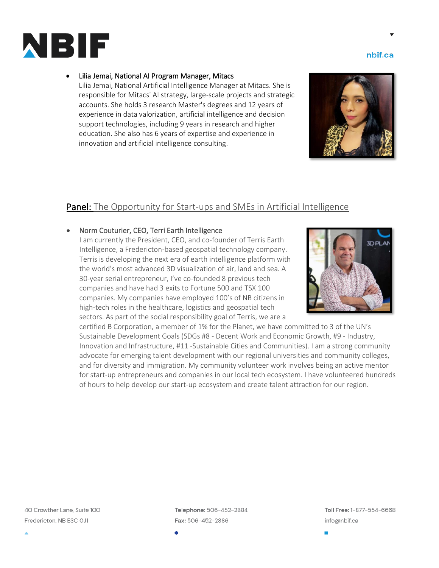

#### • Lilia Jemai, National AI Program Manager, Mitacs

Lilia Jemai, National Artificial Intelligence Manager at Mitacs. She is responsible for Mitacs' AI strategy, large-scale projects and strategic accounts. She holds 3 research Master's degrees and 12 years of experience in data valorization, artificial intelligence and decision support technologies, including 9 years in research and higher education. She also has 6 years of expertise and experience in innovation and artificial intelligence consulting.

## Panel: The Opportunity for Start-ups and SMEs in Artificial Intelligence

#### • Norm Couturier, CEO, Terri Earth Intelligence

I am currently the President, CEO, and co-founder of Terris Earth Intelligence, a Fredericton-based geospatial technology company. Terris is developing the next era of earth intelligence platform with the world's most advanced 3D visualization of air, land and sea. A 30-year serial entrepreneur, I've co-founded 8 previous tech companies and have had 3 exits to Fortune 500 and TSX 100 companies. My companies have employed 100's of NB citizens in high-tech roles in the healthcare, logistics and geospatial tech sectors. As part of the social responsibility goal of Terris, we are a



certified B Corporation, a member of 1% for the Planet, we have committed to 3 of the UN's Sustainable Development Goals (SDGs #8 - Decent Work and Economic Growth, #9 - Industry, Innovation and Infrastructure, #11 -Sustainable Cities and Communities). I am a strong community advocate for emerging talent development with our regional universities and community colleges, and for diversity and immigration. My community volunteer work involves being an active mentor for start-up entrepreneurs and companies in our local tech ecosystem. I have volunteered hundreds of hours to help develop our start-up ecosystem and create talent attraction for our region.

40 Crowther Lane, Suite 100 Fredericton, NB E3C OJ1

Telephone: 506-452-2884 Fax: 506-452-2886

Toll Free: 1-877-554-6668 info@nbif.ca

nbif.ca

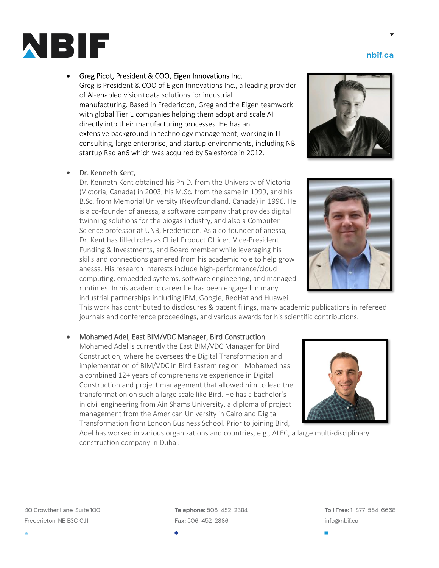#### 40 Crowther Lane, Suite 100 Fredericton, NB E3C OJ1

Telephone: 506-452-2884 Fax: 506-452-2886

Toll Free: 1-877-554-6668 info@nbif.ca

#### • Greg Picot, President & COO, Eigen Innovations Inc.

Greg is President & COO of Eigen Innovations Inc., a leading provider of AI-enabled vision+data solutions for industrial manufacturing. Based in Fredericton, Greg and the Eigen teamwork with global Tier 1 companies helping them adopt and scale AI directly into their manufacturing processes. He has an extensive background in technology management, working in IT consulting, large enterprise, and startup environments, including NB startup Radian6 which was acquired by Salesforce in 2012.

#### • Dr. Kenneth Kent,

Dr. Kenneth Kent obtained his Ph.D. from the University of Victoria (Victoria, Canada) in 2003, his M.Sc. from the same in 1999, and his B.Sc. from Memorial University (Newfoundland, Canada) in 1996. He is a co-founder of anessa, a software company that provides digital twinning solutions for the biogas industry, and also a Computer Science professor at UNB, Fredericton. As a co-founder of anessa, Dr. Kent has filled roles as Chief Product Officer, Vice-President Funding & Investments, and Board member while leveraging his skills and connections garnered from his academic role to help grow anessa. His research interests include high-performance/cloud computing, embedded systems, software engineering, and managed runtimes. In his academic career he has been engaged in many industrial partnerships including IBM, Google, RedHat and Huawei.

This work has contributed to disclosures & patent filings, many academic publications in refereed journals and conference proceedings, and various awards for his scientific contributions.

#### • Mohamed Adel, East BIM/VDC Manager, Bird Construction

construction company in Dubai.

Mohamed Adel is currently the East BIM/VDC Manager for Bird Construction, where he oversees the Digital Transformation and implementation of BIM/VDC in Bird Eastern region. Mohamed has a combined 12+ years of comprehensive experience in Digital Construction and project management that allowed him to lead the transformation on such a large scale like Bird. He has a bachelor's in civil engineering from Ain Shams University, a diploma of project management from the American University in Cairo and Digital Transformation from London Business School. Prior to joining Bird,

Adel has worked in various organizations and countries, e.g., ALEC, a large multi-disciplinary







nbif.ca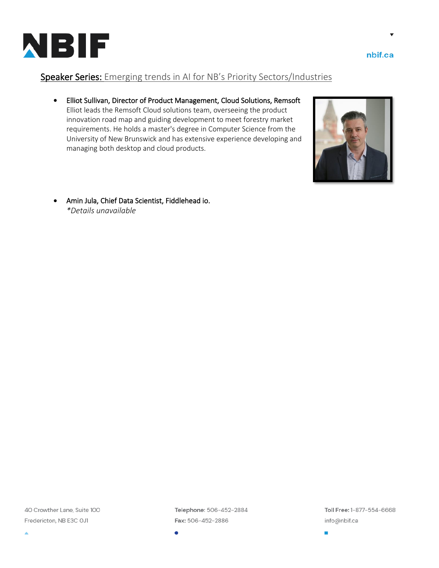

nbif.ca

## Speaker Series: Emerging trends in AI for NB's Priority Sectors/Industries

• Elliot Sullivan, Director of Product Management, Cloud Solutions, Remsoft Elliot leads the Remsoft Cloud solutions team, overseeing the product innovation road map and guiding development to meet forestry market requirements. He holds a master's degree in Computer Science from the University of New Brunswick and has extensive experience developing and managing both desktop and cloud products.



• Amin Jula, Chief Data Scientist, Fiddlehead io. *\*Details unavailable*

40 Crowther Lane, Suite 100 Fredericton, NB E3C OJ1

Telephone: 506-452-2884 Fax: 506-452-2886

Toll Free: 1-877-554-6668 info@nbif.ca

٠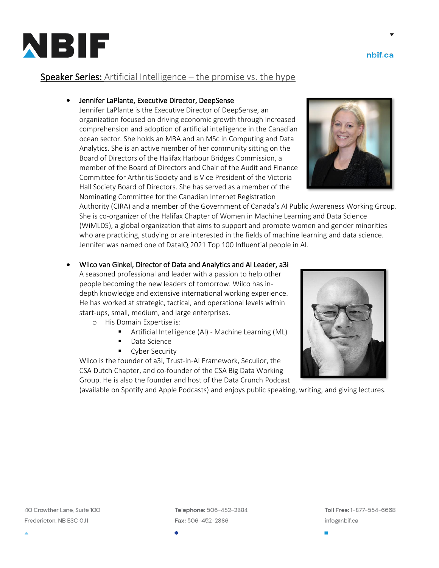

Toll Free: 1-877-554-6668

# Speaker Series: Artificial Intelligence - the promise vs. the hype

### • Jennifer LaPlante, Executive Director, DeepSense

Jennifer LaPlante is the Executive Director of DeepSense, an organization focused on driving economic growth through increased comprehension and adoption of artificial intelligence in the Canadian ocean sector. She holds an MBA and an MSc in Computing and Data Analytics. She is an active member of her community sitting on the Board of Directors of the Halifax Harbour Bridges Commission, a member of the Board of Directors and Chair of the Audit and Finance Committee for Arthritis Society and is Vice President of the Victoria Hall Society Board of Directors. She has served as a member of the Nominating Committee for the Canadian Internet Registration

Authority (CIRA) and a member of the Government of Canada's AI Public Awareness Working Group. She is co-organizer of the Halifax Chapter of Women in Machine Learning and Data Science (WiMLDS), a global organization that aims to support and promote women and gender minorities who are practicing, studying or are interested in the fields of machine learning and data science. Jennifer was named one of DataIQ 2021 Top 100 Influential people in AI.

- Wilco van Ginkel, Director of Data and Analytics and AI Leader, a3i A seasoned professional and leader with a passion to help other people becoming the new leaders of tomorrow. Wilco has indepth knowledge and extensive international working experience. He has worked at strategic, tactical, and operational levels within
	- start-ups, small, medium, and large enterprises. o His Domain Expertise is:
		- Artificial Intelligence (AI) Machine Learning (ML)
		- Data Science
		- Cyber Security

Wilco is the founder of a3i, Trust-in-AI Framework, Seculior, the CSA Dutch Chapter, and co-founder of the CSA Big Data Working Group. He is also the founder and host of the Data Crunch Podcast

(available on Spotify and Apple Podcasts) and enjoys public speaking, writing, and giving lectures.